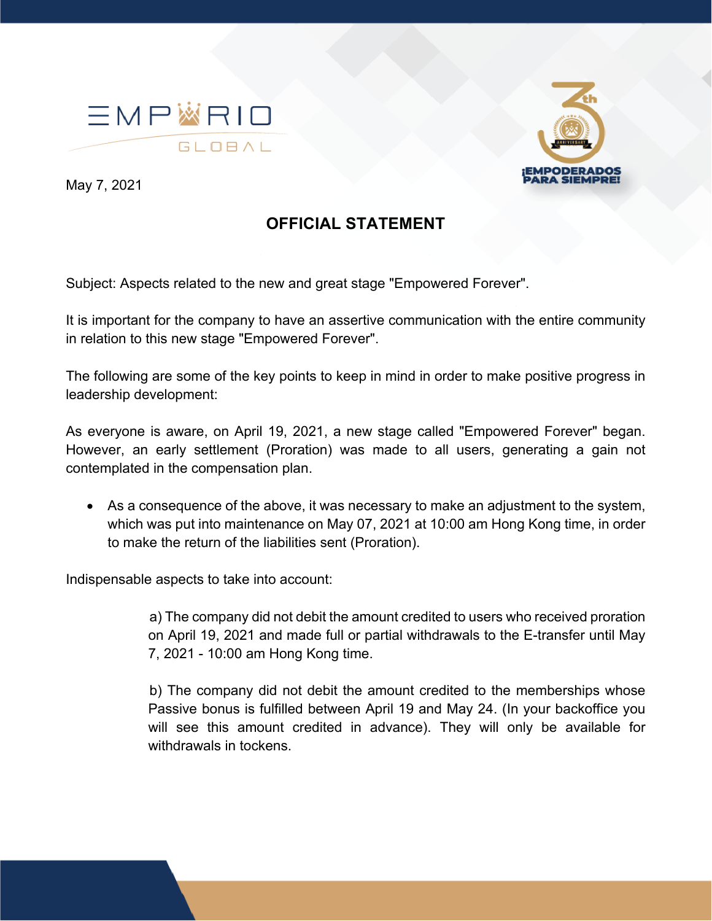



May 7, 2021

## **OFFICIAL STATEMENT**

Subject: Aspects related to the new and great stage "Empowered Forever".

It is important for the company to have an assertive communication with the entire community in relation to this new stage "Empowered Forever".

The following are some of the key points to keep in mind in order to make positive progress in leadership development:

As everyone is aware, on April 19, 2021, a new stage called "Empowered Forever" began. However, an early settlement (Proration) was made to all users, generating a gain not contemplated in the compensation plan.

• As a consequence of the above, it was necessary to make an adjustment to the system, which was put into maintenance on May 07, 2021 at 10:00 am Hong Kong time, in order to make the return of the liabilities sent (Proration).

Indispensable aspects to take into account:

a) The company did not debit the amount credited to users who received proration on April 19, 2021 and made full or partial withdrawals to the E-transfer until May 7, 2021 - 10:00 am Hong Kong time.

b) The company did not debit the amount credited to the memberships whose Passive bonus is fulfilled between April 19 and May 24. (In your backoffice you will see this amount credited in advance). They will only be available for withdrawals in tockens.